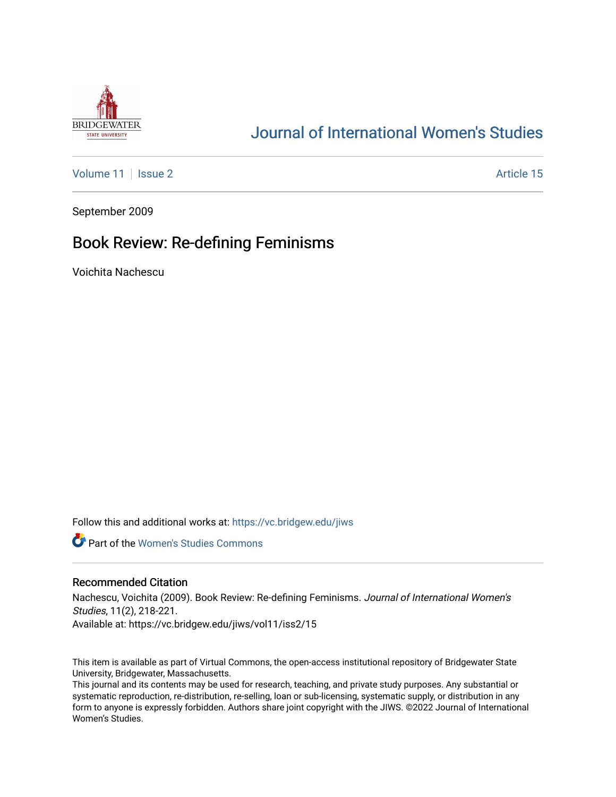

# [Journal of International Women's Studies](https://vc.bridgew.edu/jiws)

[Volume 11](https://vc.bridgew.edu/jiws/vol11) | [Issue 2](https://vc.bridgew.edu/jiws/vol11/iss2) Article 15

September 2009

## Book Review: Re-defining Feminisms

Voichita Nachescu

Follow this and additional works at: [https://vc.bridgew.edu/jiws](https://vc.bridgew.edu/jiws?utm_source=vc.bridgew.edu%2Fjiws%2Fvol11%2Fiss2%2F15&utm_medium=PDF&utm_campaign=PDFCoverPages)

**C** Part of the Women's Studies Commons

#### Recommended Citation

Nachescu, Voichita (2009). Book Review: Re-defining Feminisms. Journal of International Women's Studies, 11(2), 218-221. Available at: https://vc.bridgew.edu/jiws/vol11/iss2/15

This item is available as part of Virtual Commons, the open-access institutional repository of Bridgewater State University, Bridgewater, Massachusetts.

This journal and its contents may be used for research, teaching, and private study purposes. Any substantial or systematic reproduction, re-distribution, re-selling, loan or sub-licensing, systematic supply, or distribution in any form to anyone is expressly forbidden. Authors share joint copyright with the JIWS. ©2022 Journal of International Women's Studies.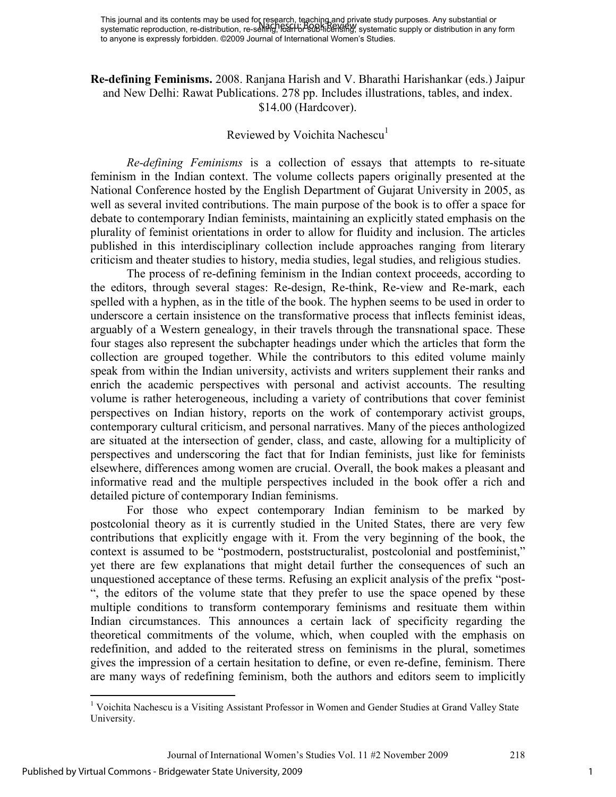This journal and its contents may be used for research, teaching and private study purposes. Any substantial or systematic reproduction, re-distribution, re-selli<del>fly,</del> l<del>odn or sub-l</del>icensing, systematic supply or distribution in any form to anyone is expressly forbidden. ©2009 Journal of International Women's Studies. Nachescu: Book Review

**Re-defining Feminisms.** 2008. Ranjana Harish and V. Bharathi Harishankar (eds.) Jaipur and New Delhi: Rawat Publications. 278 pp. Includes illustrations, tables, and index. \$14.00 (Hardcover).

### Reviewed by Voichita Nachescu<sup>1</sup>

*Re-defining Feminisms* is a collection of essays that attempts to re-situate feminism in the Indian context. The volume collects papers originally presented at the National Conference hosted by the English Department of Gujarat University in 2005, as well as several invited contributions. The main purpose of the book is to offer a space for debate to contemporary Indian feminists, maintaining an explicitly stated emphasis on the plurality of feminist orientations in order to allow for fluidity and inclusion. The articles published in this interdisciplinary collection include approaches ranging from literary criticism and theater studies to history, media studies, legal studies, and religious studies.

The process of re-defining feminism in the Indian context proceeds, according to the editors, through several stages: Re-design, Re-think, Re-view and Re-mark, each spelled with a hyphen, as in the title of the book. The hyphen seems to be used in order to underscore a certain insistence on the transformative process that inflects feminist ideas, arguably of a Western genealogy, in their travels through the transnational space. These four stages also represent the subchapter headings under which the articles that form the collection are grouped together. While the contributors to this edited volume mainly speak from within the Indian university, activists and writers supplement their ranks and enrich the academic perspectives with personal and activist accounts. The resulting volume is rather heterogeneous, including a variety of contributions that cover feminist perspectives on Indian history, reports on the work of contemporary activist groups, contemporary cultural criticism, and personal narratives. Many of the pieces anthologized are situated at the intersection of gender, class, and caste, allowing for a multiplicity of perspectives and underscoring the fact that for Indian feminists, just like for feminists elsewhere, differences among women are crucial. Overall, the book makes a pleasant and informative read and the multiple perspectives included in the book offer a rich and detailed picture of contemporary Indian feminisms.

For those who expect contemporary Indian feminism to be marked by postcolonial theory as it is currently studied in the United States, there are very few contributions that explicitly engage with it. From the very beginning of the book, the context is assumed to be "postmodern, poststructuralist, postcolonial and postfeminist," yet there are few explanations that might detail further the consequences of such an unquestioned acceptance of these terms. Refusing an explicit analysis of the prefix "post- ", the editors of the volume state that they prefer to use the space opened by these multiple conditions to transform contemporary feminisms and resituate them within Indian circumstances. This announces a certain lack of specificity regarding the theoretical commitments of the volume, which, when coupled with the emphasis on redefinition, and added to the reiterated stress on feminisms in the plural, sometimes gives the impression of a certain hesitation to define, or even re-define, feminism. There are many ways of redefining feminism, both the authors and editors seem to implicitly

 1 Voichita Nachescu is a Visiting Assistant Professor in Women and Gender Studies at Grand Valley State University.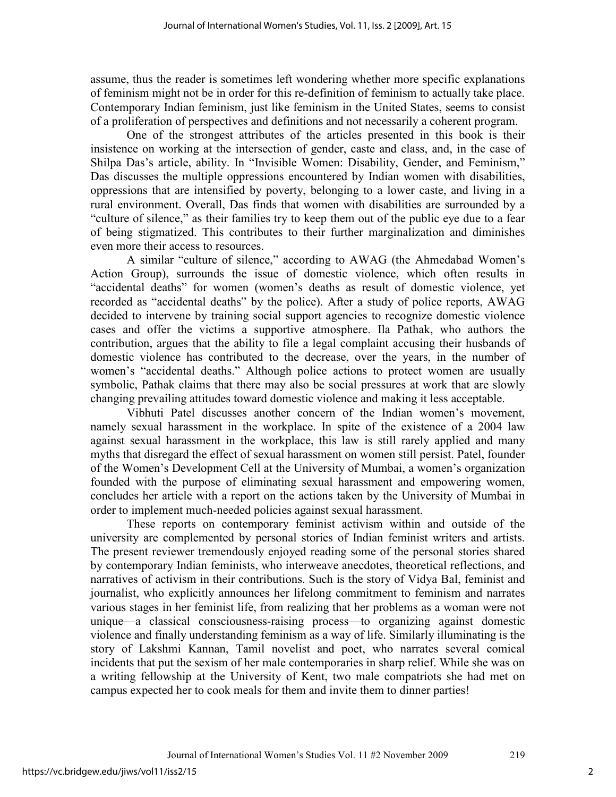assume, thus the reader is sometimes left wondering whether more specific explanations of feminism might not be in order for this re-definition of feminism to actually take place. Contemporary Indian feminism, just like feminism in the United States, seems to consist of a proliferation of perspectives and definitions and not necessarily a coherent program.

One of the strongest attributes of the articles presented in this book is their insistence on working at the intersection of gender, caste and class, and, in the case of Shilpa Das's article, ability. In "Invisible Women: Disability, Gender, and Feminism," Das discusses the multiple oppressions encountered by Indian women with disabilities, oppressions that are intensified by poverty, belonging to a lower caste, and living in a rural environment. Overall, Das finds that women with disabilities are surrounded by a "culture of silence," as their families try to keep them out of the public eye due to a fear of being stigmatized. This contributes to their further marginalization and diminishes even more their access to resources.

A similar "culture of silence," according to AWAG (the Ahmedabad Women's Action Group), surrounds the issue of domestic violence, which often results in "accidental deaths" for women (women's deaths as result of domestic violence, yet recorded as "accidental deaths" by the police). After a study of police reports, AWAG decided to intervene by training social support agencies to recognize domestic violence cases and offer the victims a supportive atmosphere. Ila Pathak, who authors the contribution, argues that the ability to file a legal complaint accusing their husbands of domestic violence has contributed to the decrease, over the years, in the number of women's "accidental deaths." Although police actions to protect women are usually symbolic, Pathak claims that there may also be social pressures at work that are slowly changing prevailing attitudes toward domestic violence and making it less acceptable.

Vibhuti Patel discusses another concern of the Indian women's movement, namely sexual harassment in the workplace. In spite of the existence of a 2004 law against sexual harassment in the workplace, this law is still rarely applied and many myths that disregard the effect of sexual harassment on women still persist. Patel, founder of the Women's Development Cell at the University of Mumbai, a women's organization founded with the purpose of eliminating sexual harassment and empowering women, concludes her article with a report on the actions taken by the University of Mumbai in order to implement much-needed policies against sexual harassment.

These reports on contemporary feminist activism within and outside of the university are complemented by personal stories of Indian feminist writers and artists. The present reviewer tremendously enjoyed reading some of the personal stories shared by contemporary Indian feminists, who interweave anecdotes, theoretical reflections, and narratives of activism in their contributions. Such is the story of Vidya Bal, feminist and journalist, who explicitly announces her lifelong commitment to feminism and narrates various stages in her feminist life, from realizing that her problems as a woman were not unique—a classical consciousness-raising process—to organizing against domestic violence and finally understanding feminism as a way of life. Similarly illuminating is the story of Lakshmi Kannan, Tamil novelist and poet, who narrates several comical incidents that put the sexism of her male contemporaries in sharp relief. While she was on a writing fellowship at the University of Kent, two male compatriots she had met on campus expected her to cook meals for them and invite them to dinner parties!

2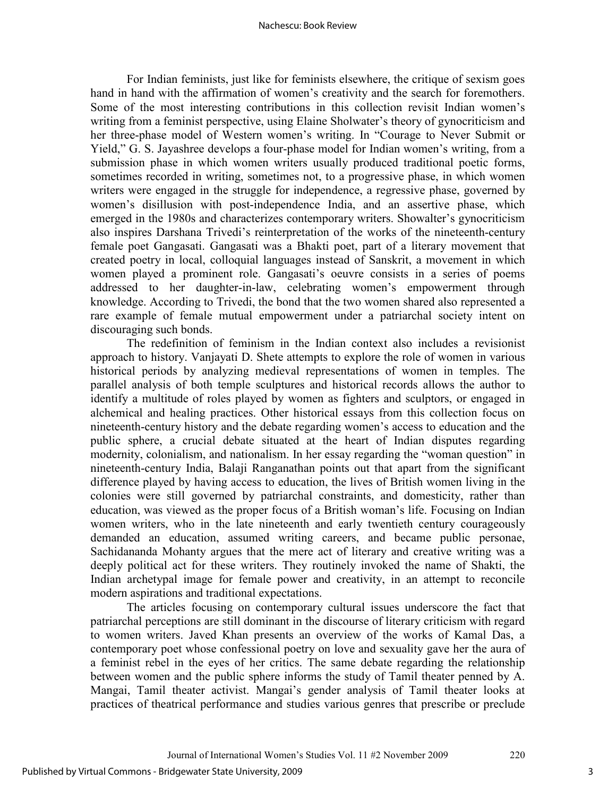#### Nachescu: Book Review

For Indian feminists, just like for feminists elsewhere, the critique of sexism goes hand in hand with the affirmation of women's creativity and the search for foremothers. Some of the most interesting contributions in this collection revisit Indian women's writing from a feminist perspective, using Elaine Sholwater's theory of gynocriticism and her three-phase model of Western women's writing. In "Courage to Never Submit or Yield," G. S. Jayashree develops a four-phase model for Indian women's writing, from a submission phase in which women writers usually produced traditional poetic forms, sometimes recorded in writing, sometimes not, to a progressive phase, in which women writers were engaged in the struggle for independence, a regressive phase, governed by women's disillusion with post-independence India, and an assertive phase, which emerged in the 1980s and characterizes contemporary writers. Showalter's gynocriticism also inspires Darshana Trivedi's reinterpretation of the works of the nineteenth-century female poet Gangasati. Gangasati was a Bhakti poet, part of a literary movement that created poetry in local, colloquial languages instead of Sanskrit, a movement in which women played a prominent role. Gangasati's oeuvre consists in a series of poems addressed to her daughter-in-law, celebrating women's empowerment through knowledge. According to Trivedi, the bond that the two women shared also represented a rare example of female mutual empowerment under a patriarchal society intent on discouraging such bonds.

The redefinition of feminism in the Indian context also includes a revisionist approach to history. Vanjayati D. Shete attempts to explore the role of women in various historical periods by analyzing medieval representations of women in temples. The parallel analysis of both temple sculptures and historical records allows the author to identify a multitude of roles played by women as fighters and sculptors, or engaged in alchemical and healing practices. Other historical essays from this collection focus on nineteenth-century history and the debate regarding women's access to education and the public sphere, a crucial debate situated at the heart of Indian disputes regarding modernity, colonialism, and nationalism. In her essay regarding the "woman question" in nineteenth-century India, Balaji Ranganathan points out that apart from the significant difference played by having access to education, the lives of British women living in the colonies were still governed by patriarchal constraints, and domesticity, rather than education, was viewed as the proper focus of a British woman's life. Focusing on Indian women writers, who in the late nineteenth and early twentieth century courageously demanded an education, assumed writing careers, and became public personae, Sachidananda Mohanty argues that the mere act of literary and creative writing was a deeply political act for these writers. They routinely invoked the name of Shakti, the Indian archetypal image for female power and creativity, in an attempt to reconcile modern aspirations and traditional expectations.

The articles focusing on contemporary cultural issues underscore the fact that patriarchal perceptions are still dominant in the discourse of literary criticism with regard to women writers. Javed Khan presents an overview of the works of Kamal Das, a contemporary poet whose confessional poetry on love and sexuality gave her the aura of a feminist rebel in the eyes of her critics. The same debate regarding the relationship between women and the public sphere informs the study of Tamil theater penned by A. Mangai, Tamil theater activist. Mangai's gender analysis of Tamil theater looks at practices of theatrical performance and studies various genres that prescribe or preclude